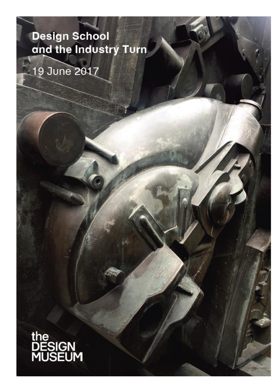### Design School and the Industry Turn

## 19 June 2017

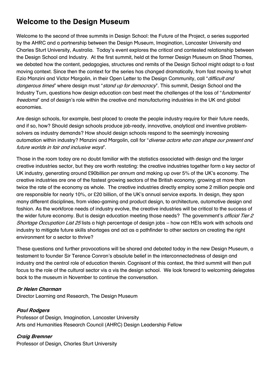#### **Welcome to the Design Museum**

Welcome to the second of three summits in Design School: the Future of the Project, a series supported by the AHRC and a partnership between the Design Museum, Imagination, Lancaster University and Charles Sturt University, Australia. Today's event explores the critical and contested relationship between the Design School and Industry. At the first summit, held at the former Design Museum on Shad Thames, we debated how the content, pedagogies, structures and remits of the Design School might adapt to a fast moving context. Since then the context for the series has changed dramatically, from fast moving to what Ezio Manzini and Victor Margolin, in their Open Letter to the Design Community, call "difficult and dangerous times" where design must "*stand up for democracy*". This summit, Design School and the Industry Turn, questions how design education can best meet the challenges of the loss of "*fundamental* freedoms" and of design's role within the creative and manufacturing industries in the UK and global economies.

Are design schools, for example, best placed to create the people industry require for their future needs, and if so, how? Should design schools produce job-ready, innovative, analytical and inventive problemsolvers as industry demands? How should design schools respond to the seemingly increasing automation within industry? Manzini and Margolin, call for "diverse actors who can shape our present and future worlds in fair and inclusive ways".

Those in the room today are no doubt familiar with the statistics associated with design and the larger creative industries sector, but they are worth restating: the creative industries together form a key sector of UK industry, generating around £90billion per annum and making up over 5% of the UK's economy. The creative industries are one of the fastest growing sectors of the British economy, growing at more than twice the rate of the economy as whole. The creative industries directly employ some 2 million people and are responsible for nearly 10%, or £20 billion, of the UK's annual service exports. In design, they span many different disciplines, from video-gaming and product design, to architecture, automotive design and fashion. As the workforce needs of industry evolve, the creative industries will be critical to the success of the wider future economy. But is design education meeting those needs? The government's *official Tier 2* Shortage Occupation List 25 lists a high percentage of design jobs – how can HEIs work with schools and industry to mitigate future skills shortages and act as a pathfinder to other sectors on creating the right environment for a sector to thrive?

These questions and further provocations will be shared and debated today in the new Design Museum, a testament to founder Sir Terence Conran's absolute belief in the interconnectedness of design and industry and the central role of education therein. Cognisant of this context, the third summit will then pull focus to the role of the cultural sector vis a vis the design school. We look forward to welcoming delegates back to the museum in November to continue the conversation.

#### **Dr Helen Charman**

Director Learning and Research, The Design Museum

#### **Paul Rodgers**

Professor of Design, Imagination, Lancaster University Arts and Humanities Research Council (AHRC) Design Leadership Fellow

**Craig Bremner** Professor of Design, Charles Sturt University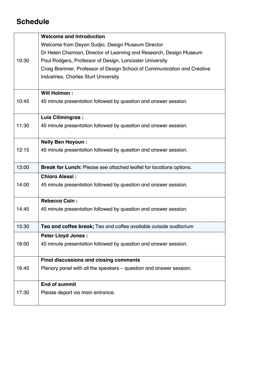#### **Schedule**

|       | <b>Welcome and Introduction</b>                                            |
|-------|----------------------------------------------------------------------------|
| 10:30 | Welcome from Deyan Sudjic, Design Museum Director                          |
|       | Dr Helen Charman, Director of Learning and Research, Design Museum         |
|       | Paul Rodgers, Professor of Design, Lancaster University                    |
|       | Craig Bremner, Professor of Design School of Communication and Creative    |
|       | <b>Industries, Charles Sturt University</b>                                |
|       |                                                                            |
|       | <b>Will Holman:</b>                                                        |
| 10:45 | 45 minute presentation followed by question and answer session.            |
|       |                                                                            |
|       | <b>Luis Cilimingras:</b>                                                   |
| 11:30 | 45 minute presentation followed by question and answer session.            |
|       |                                                                            |
|       | <b>Nelly Ben Hayoun:</b>                                                   |
| 12:15 | 45 minute presentation followed by question and answer session.            |
|       |                                                                            |
| 13:00 | <b>Break for Lunch:</b> Please see attached leaflet for locations options. |
|       | <b>Chiara Alessi:</b>                                                      |
| 14:00 | 45 minute presentation followed by question and answer session.            |
|       |                                                                            |
|       | <b>Rebecca Cain:</b>                                                       |
| 14:45 | 45 minute presentation followed by question and answer session.            |
|       |                                                                            |
| 15:30 | Tea and coffee break; Tea and coffee available outside auditorium          |
|       | <b>Peter Llovd Jones:</b>                                                  |
| 16:00 | 45 minute presentation followed by question and answer session.            |
|       |                                                                            |
|       | <b>Final discussions and closing comments</b>                              |
| 16:45 | Plenary panel with all the speakers – question and answer session.         |
|       |                                                                            |
|       | <b>End of summit</b>                                                       |
| 17:30 | Please depart via main entrance.                                           |
|       |                                                                            |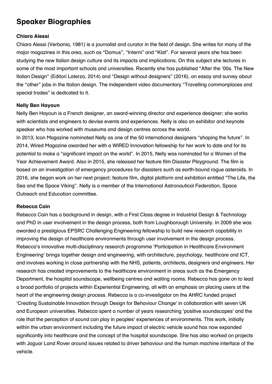#### **Speaker Biographies**

#### **Chiara Alessi**

Chiara Alessi (Verbania, 1981) is a journalist and curator in the field of design. She writes for many of the major magazines in this area, such as "Domus", "Interni" and "Klat". For several years she has been studying the new Italian design culture and its impacts and implications. On this subject she lectures in some of the most important schools and universities. Recently she has published "After the '00s. The New Italian Design" (Editori Laterza, 2014) and "Design without designers" (2016), an essay and survey about the "other" jobs in the Italian design. The independent video documentary "Travelling commonplaces and special trades" is dedicated to it.

#### **Nelly Ben Hayoun**

Nelly Ben Hayoun is a French designer, an award-winning director and experience designer; she works with scientists and engineers to devise events and experiences. Nelly is also an exhibitor and keynote speaker who has worked with museums and design centres across the world.

In 2013, Icon Magazine nominated Nelly as one of the 50 international designers "shaping the future". In 2014, Wired Magazine awarded her with a WIRED Innovation fellowship for her work to date and for its potential to make a "significant impact on the world". In 2015, Nelly was nominated for a Women of the Year Achievement Award. Also in 2015, she released her feature film Disaster Playground. The film is based on an investigation of emergency procedures for disasters such as earth-bound rogue asteroids. In 2016, she began work on her next project: feature film, digital platform and exhibition entitled "The Life, the Sea and the Space Viking". Nelly is a member of the International Astronautical Federation, Space Outreach and Education committee.

#### **Rebecca Cain**

Rebecca Cain has a background in design, with a First Class degree in Industrial Design & Technology and PhD in user involvement in the design process, both from Loughborough University. In 2009 she was awarded a prestigious EPSRC Challenging Engineering fellowship to build new research capability in improving the design of healthcare environments through user involvement in the design process. Rebecca's innovative multi-disciplinary research programme 'Participation in Healthcare Environment Engineering' brings together design and engineering, with architecture, psychology, healthcare and ICT, and involves working in close partnership with the NHS, patients, architects, designers and engineers. Her research has created improvements to the healthcare environment in areas such as the Emergency Department, the hospital soundscape, wellbeing centres and waiting rooms. Rebecca has gone on to lead a broad portfolio of projects within Experiential Engineering, all with an emphasis on placing users at the heart of the engineering design process. Rebecca is a co-investigator on the AHRC funded project 'Creating Sustainable Innovation through Design for Behaviour Change' in collaboration with seven UK and European universities. Rebecca spent a number of years researching 'positive soundscapes' and the role that the perception of sound can play in peoples' experiences of environments. This work, initially within the urban environment including the future impact of electric vehicle sound has now expanded significantly into healthcare and the concept of the hospital soundscape. She has also worked on projects with Jaguar Land Rover around issues related to driver behaviour and the human machine interface of the vehicle.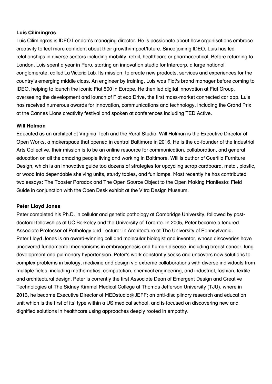#### **Luis Cilimingras**

Luis Cilimingras is IDEO London's managing director. He is passionate about how organisations embrace creativity to feel more confident about their growth/impact/future. Since joining IDEO, Luis has led relationships in diverse sectors including mobility, retail, healthcare or pharmaceutical. Before returning to London, Luis spent a year in Peru, starting an innovation studio for Intercorp, a large national conglomerate, called La Victoria Lab. Its mission: to create new products, services and experiences for the country's emerging middle class. An engineer by training, Luis was Fiat's brand manager before coming to IDEO, helping to launch the iconic Fiat 500 in Europe. He then led digital innovation at Fiat Group, overseeing the development and launch of Fiat eco:Drive, the first mass-market connected car app. Luis has received numerous awards for innovation, communications and technology, including the Grand Prix at the Cannes Lions creativity festival and spoken at conferences including TED Active.

#### **Will Holman**

Educated as an architect at Virginia Tech and the Rural Studio, Will Holman is the Executive Director of Open Works, a makerspace that opened in central Baltimore in 2016. He is the co-founder of the Industrial Arts Collective, their mission is to be an online resource for communication, collaboration, and general education on all the amazing people living and working in Baltimore. Will is author of Guerilla Furniture Design, which is an innovative guide too dozens of strategies for upcycling scrap cardboard, metal, plastic, or wood into dependable shelving units, sturdy tables, and fun lamps. Most recently he has contributed two essays: The Toaster Paradox and The Open Source Object to the Open Making Manifesto: Field Guide in conjunction with the Open Desk exhibit at the Vitra Design Museum.

#### **Peter Lloyd Jones**

Peter completed his Ph.D. in cellular and genetic pathology at Cambridge University, followed by postdoctoral fellowships at UC Berkeley and the University of Toronto. In 2005, Peter became a tenured Associate Professor of Pathology and Lecturer in Architecture at The University of Pennsylvania. Peter Lloyd Jones is an award-winning cell and molecular biologist and inventor, whose discoveries have uncovered fundamental mechanisms in embryogenesis and human disease, including breast cancer, lung development and pulmonary hypertension. Peter's work constantly seeks and uncovers new solutions to complex problems in biology, medicine and design via extreme collaborations with diverse individuals from multiple fields, including mathematics, computation, chemical engineering, and industrial, fashion, textile and architectural design. Peter is currently the first Associate Dean of Emergent Design and Creative Technologies at The Sidney Kimmel Medical College at Thomas Jefferson University (TJU), where in 2013, he became Executive Director of MEDstudio@JEFF; an anti-disciplinary research and education unit which is the first of its' type within a US medical school, and is focused on discovering new and dignified solutions in healthcare using approaches deeply rooted in empathy.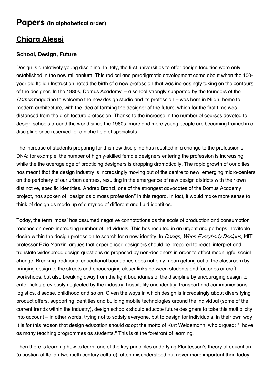#### **Papers (In alphabetical order)**

#### **Chiara Alessi**

#### **School, Design, Future**

Design is a relatively young discipline. In Italy, the first universities to offer design faculties were only established in the new millennium. This radical and paradigmatic development came about when the 100 year old Italian Instruction noted the birth of a new profession that was increasingly taking on the contours of the designer. In the 1980s, Domus Academy – a school strongly supported by the founders of the Domus magazine to welcome the new design studio and its profession – was born in Milan, home to modern architecture, with the idea of forming the designer of the future, which for the first time was distanced from the architecture profession. Thanks to the increase in the number of courses devoted to design schools around the world since the 1980s, more and more young people are becoming trained in a discipline once reserved for a niche field of specialists.

The increase of students preparing for this new discipline has resulted in a change to the profession's DNA: for example, the number of highly-skilled female designers entering the profession is increasing, while the the average age of practicing designers is dropping dramatically. The rapid growth of our cities has meant that the design industry is increasingly moving out of the centre to new, emerging micro-centers on the periphery of our urban centres, resulting in the emergence of new design districts with their own distinctive, specific identities. Andrea Branzi, one of the strongest advocates of the Domus Academy project, has spoken of "design as a mass profession" in this regard. In fact, it would make more sense to think of design as made up of a myriad of different and fluid identities.

Today, the term 'mass' has assumed negative connotations as the scale of production and consumption reaches an ever- increasing number of individuals. This has resulted in an urgent and perhaps inevitable desire within the design profession to search for a new identity. In *Design, When Everybody Designs*, MIT professor Ezio Manzini argues that experienced designers should be prepared to react, interpret and translate widespread design questions as proposed by non-designers in order to effect meaningful social change. Breaking traditional educational boundaries does not only mean getting out of the classroom by bringing design to the streets and encouraging closer links between students and factories or craft workshops, but also breaking away from the tight boundaries of the discipline by encouraging design to enter fields previously neglected by the industry: hospitality and identity, transport and communications logistics, disease, childhood and so on. Given the ways in which design is increasingly about diversifying product offers, supporting identities and building mobile technologies around the individual (some of the current trends within the industry), design schools should educate future designers to take this multiplicity into account – in other words, trying not to satisfy everyone, but to design for individuals, in their own way. It is for this reason that design education should adopt the motto of Kurt Weidemann, who argued: "I have as many teaching programmes as students." This is at the forefront of learning.

Then there is learning how to learn, one of the key principles underlying Montessori's theory of education (a bastion of Italian twentieth century culture), often misunderstood but never more important than today.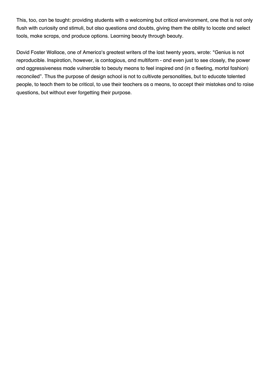This, too, can be taught: providing students with a welcoming but critical environment, one that is not only flush with curiosity and stimuli, but also questions and doubts, giving them the ability to locate and select tools, make scraps, and produce options. Learning beauty through beauty.

David Foster Wallace, one of America's greatest writers of the last twenty years, wrote: "Genius is not reproducible. Inspiration, however, is contagious, and multiform - and even just to see closely, the power and aggressiveness made vulnerable to beauty means to feel inspired and (in a fleeting, mortal fashion) reconciled". Thus the purpose of design school is not to cultivate personalities, but to educate talented people, to teach them to be critical, to use their teachers as a means, to accept their mistakes and to raise questions, but without ever forgetting their purpose.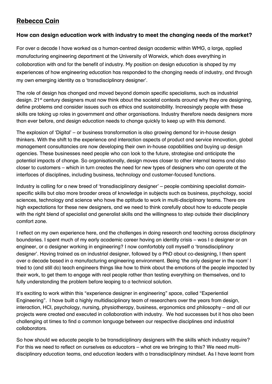#### **Rebecca Cain**

#### **How can design education work with industry to meet the changing needs of the market?**

For over a decade I have worked as a human-centred design academic within WMG, a large, applied manufacturing engineering department at the University of Warwick, which does everything in collaboration with and for the benefit of industry. My position on design education is shaped by my experiences of how engineering education has responded to the changing needs of industry, and through my own emerging identity as a 'transdisciplinary designer'.

The role of design has changed and moved beyond domain specific specialisms, such as industrial design. 21<sup>st</sup> century designers must now think about the societal contexts around why they are designing, define problems and consider issues such as ethics and sustainability. Increasingly people with these skills are taking up roles in government and other organisations. Industry therefore needs designers more than ever before, and design education needs to change quickly to keep up with this demand.

The explosion of 'Digital' – or business transformation is also growing demand for in-house design thinkers. With the shift to the experience and interaction aspects of product and service innovation, global management consultancies are now developing their own in-house capabilities and buying up design agencies. These businesses need people who can look to the future, strategise and anticipate the potential impacts of change. So organisationally, design moves closer to other internal teams and also closer to customers – which in turn creates the need for new types of designers who can operate at the interfaces of disciplines, including business, technology and customer-focused functions.

Industry is calling for a new breed of 'transdisciplinary designer' – people combining specialist domainspecific skills but also more broader areas of knowledge in subjects such as business, psychology, social sciences, technology and science who have the aptitude to work in multi-disciplinary teams. There are high expectations for these new designers, and we need to think carefully about how to educate people with the right blend of specialist and generalist skills and the willingness to step outside their disciplinary comfort zone.

I reflect on my own experience here, and the challenges in doing research and teaching across disciplinary boundaries. I spent much of my early academic career having an identity crisis – was I a designer or an engineer, or a designer working in engineering? I now comfortably call myself a 'transdisciplinary designer'. Having trained as an industrial designer, followed by a PhD about co-designing, I then spent over a decade based in a manufacturing engineering environment. Being 'the only designer in the room' I tried to (and still do) teach engineers things like how to think about the emotions of the people impacted by their work, to get them to engage with real people rather than testing everything on themselves, and to fully understanding the problem before leaping to a technical solution.

It's exciting to work within this "experience designer in engineering" space, called "Experiential Engineering". I have built a highly multidisciplinary team of researchers over the years from design, interaction, HCI, psychology, nursing, physiotherapy, business, ergonomics and philosophy – and all our projects were created and executed in collaboration with industry. We had successes but it has also been challenging at times to find a common language between our respective disciplines and industrial collaborators.

So how should we educate people to be transdiciplinary designers with the skills which industry require? For this we need to reflect on ourselves as educators – what are we bringing to this? We need multidisciplinary education teams, and education leaders with a transdisciplinary mindset. As I have learnt from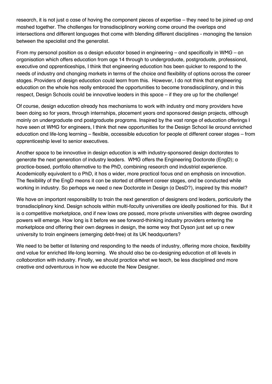research, it is not just a case of having the component pieces of expertise – they need to be joined up and mashed together. The challenges for transdisciplinary working come around the overlaps and intersections and different languages that come with blending different disciplines - managing the tension between the specialist and the generalist.

From my personal position as a design educator based in engineering – and specifically in WMG – an organisation which offers education from age 14 through to undergraduate, postgraduate, professional, executive and apprenticeships, I think that engineering education has been quicker to respond to the needs of industry and changing markets in terms of the choice and flexibility of options across the career stages. Providers of design education could learn from this. However, I do not think that engineering education on the whole has really embraced the opportunities to become transdisciplinary, and in this respect, Design Schools could be innovative leaders in this space – if they are up for the challenge!

Of course, design education already has mechanisms to work with industry and many providers have been doing so for years, through internships, placement years and sponsored design projects, although mainly on undergraduate and postgraduate programs. Inspired by the vast range of education offerings I have seen at WMG for engineers, I think that new opportunities for the Design School lie around enriched education and life-long learning – flexible, accessible education for people at different career stages – from apprenticeship level to senior executives.

Another space to be innovative in design education is with industry-sponsored design doctorates to generate the next generation of industry leaders. WMG offers the Engineering Doctorate (EngD); a practice-based, portfolio alternative to the PhD, combining research and industrial experience. Academically equivalent to a PhD, it has a wider, more practical focus and an emphasis on innovation. The flexibility of the EngD means it can be started at different career stages, and be conducted while working in industry. So perhaps we need a new Doctorate in Design (a DesD?), inspired by this model?

We have an important responsibility to train the next generation of designers and leaders, particularly the transdisciplinary kind. Design schools within multi-faculty universities are ideally positioned for this. But it is a competitive marketplace, and if new laws are passed, more private universities with degree awarding powers will emerge. How long is it before we see forward-thinking industry providers entering the marketplace and offering their own degrees in design, the same way that Dyson just set up a new university to train engineers (emerging debt-free) at its UK headquarters?

We need to be better at listening and responding to the needs of industry, offering more choice, flexibility and value for enriched life-long learning. We should also be co-designing education at all levels in collaboration with industry. Finally, we should practice what we teach, be less disciplined and more creative and adventurous in how we educate the New Designer.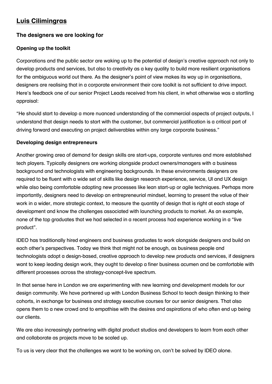#### **Luis Cilimingras**

#### **The designers we are looking for**

#### **Opening up the toolkit**

Corporations and the public sector are waking up to the potential of design's creative approach not only to develop products and services, but also to creativity as a key quality to build more resilient organisations for the ambiguous world out there. As the designer's point of view makes its way up in organisations, designers are realising that in a corporate environment their core toolkit is not sufficient to drive impact. Here's feedback one of our senior Project Leads received from his client, in what otherwise was a startling appraisal:

"He should start to develop a more nuanced understanding of the commercial aspects of project outputs, I understand that design needs to start with the customer, but commercial justification is a critical part of driving forward and executing on project deliverables within any large corporate business."

#### **Developing design entrepreneurs**

Another growing area of demand for design skills are start-ups, corporate ventures and more established tech players. Typically designers are working alongside product owners/managers with a business background and technologists with engineering backgrounds. In these environments designers are required to be fluent with a wide set of skills like design research experience, service, UI and UX design while also being comfortable adopting new processes like lean start-up or agile techniques. Perhaps more importantly, designers need to develop an entrepreneurial mindset, learning to present the value of their work in a wider, more strategic context, to measure the quantity of design that is right at each stage of development and know the challenges associated with launching products to market. As an example, none of the top graduates that we had selected in a recent process had experience working in a "live product".

IDEO has traditionally hired engineers and business graduates to work alongside designers and build on each other's perspectives. Today we think that might not be enough, as business people and technologists adopt a design-based, creative approach to develop new products and services, if designers want to keep leading design work, they ought to develop a finer business acumen and be comfortable with different processes across the strategy-concept-live spectrum.

In that sense here in London we are experimenting with new learning and development models for our design community. We have partnered up with London Business School to teach design thinking to their cohorts, in exchange for business and strategy executive courses for our senior designers. That also opens them to a new crowd and to empathise with the desires and aspirations of who often end up being our clients.

We are also increasingly partnering with digital product studios and developers to learn from each other and collaborate as projects move to be scaled up.

To us is very clear that the challenges we want to be working on, can't be solved by IDEO alone.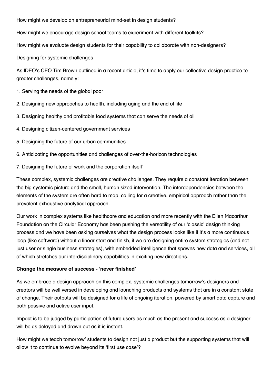How might we develop an entrepreneurial mind-set in design students?

How might we encourage design school teams to experiment with different toolkits?

How might we evaluate design students for their capability to collaborate with non-designers?

Designing for systemic challenges

As IDEO's CEO Tim Brown outlined in a recent article, it's time to apply our collective design practice to greater challenges, namely:

1. Serving the needs of the global poor

- 2. Designing new approaches to health, including aging and the end of life
- 3. Designing healthy and profitable food systems that can serve the needs of all
- 4. Designing citizen-centered government services
- 5. Designing the future of our urban communities
- 6. Anticipating the opportunities and challenges of over-the-horizon technologies
- 7. Designing the future of work and the corporation itself'

These complex, systemic challenges are creative challenges. They require a constant iteration between the big systemic picture and the small, human sized intervention. The interdependencies between the elements of the system are often hard to map, calling for a creative, empirical approach rather than the prevalent exhaustive analytical approach.

Our work in complex systems like healthcare and education and more recently with the Ellen Macarthur Foundation on the Circular Economy has been pushing the versatility of our 'classic' design thinking process and we have been asking ourselves what the design process looks like if it's a more continuous loop (like software) without a linear start and finish, if we are designing entire system strategies (and not just user or single business strategies), with embedded intelligence that spawns new data and services, all of which stretches our interdisciplinary capabilities in exciting new directions.

#### **Change the measure of success - 'never finished'**

As we embrace a design approach on this complex, systemic challenges tomorrow's designers and creators will be well versed in developing and launching products and systems that are in a constant state of change. Their outputs will be designed for a life of ongoing iteration, powered by smart data capture and both passive and active user input.

Impact is to be judged by participation of future users as much as the present and success as a designer will be as delayed and drawn out as it is instant.

How might we teach tomorrow' students to design not just a product but the supporting systems that will allow it to continue to evolve beyond its 'first use case'?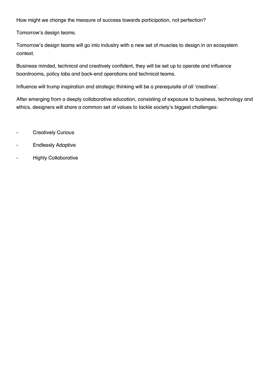How might we change the measure of success towards participation, not perfection?

Tomorrow's design teams.

Tomorrow's design teams will go into industry with a new set of muscles to design in an ecosystem context.

Business minded, technical and creatively confident, they will be set up to operate and influence boardrooms, policy labs and back-end operations and technical teams.

Influence will trump inspiration and strategic thinking will be a prerequisite of all 'creatives'.

After emerging from a deeply collaborative education, consisting of exposure to business, technology and ethics, designers will share a common set of values to tackle society's biggest challenges:

- Creatively Curious
- Endlessly Adaptive
- Highly Collaborative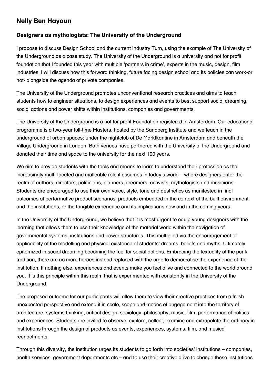#### **Nelly Ben Hayoun**

#### **Designers as mythologists: The University of the Underground**

I propose to discuss Design School and the current Industry Turn, using the example of The University of the Underground as a case study. The University of the Underground is a university and not for profit foundation that I founded this year with multiple 'partners in crime', experts in the music, design, film industries. I will discuss how this forward thinking, future facing design school and its policies can work-or not- alongside the agenda of private companies.

The University of the Underground promotes unconventional research practices and aims to teach students how to engineer situations, to design experiences and events to best support social dreaming, social actions and power shifts within institutions, companies and governments.

The University of the Underground is a not for profit Foundation registered in Amsterdam. Our educational programme is a two-year full-time Masters, hosted by the Sandberg Institute and we teach in the underground of urban spaces; under the nightclub of De Marktkantine in Amsterdam and beneath the Village Underground in London. Both venues have partnered with the University of the Underground and donated their time and space to the university for the next 100 years.

We aim to provide students with the tools and means to learn to understand their profession as the increasingly multi-faceted and malleable role it assumes in today's world – where designers enter the realm of authors, directors, politicians, planners, dreamers, activists, mythologists and musicians. Students are encouraged to use their own voice, style, tone and aesthetics as manifested in final outcomes of performative product scenarios, products embedded in the context of the built environment and the institutions, or the tangible experience and its implications now and in the coming years.

In the University of the Underground, we believe that it is most urgent to equip young designers with the learning that allows them to use their knowledge of the material world within the navigation of governmental systems, institutions and power structures. This multiplied via the encouragement of applicability of the modelling and physical existence of students' dreams, beliefs and myths. Ultimately epitomized in social dreaming becoming the fuel for social actions. Embracing the textuality of the punk tradition, there are no more heroes instead replaced with the urge to democratise the experience of the institution. If nothing else, experiences and events make you feel alive and connected to the world around you. It is this principle within this realm that is experimented with constantly in the University of the Underground.

The proposed outcome for our participants will allow them to view their creative practices from a fresh unexpected perspective and extend it in scale, scope and modes of engagement into the territory of architecture, systems thinking, critical design, sociology, philosophy, music, film, performance of politics, and experiences. Students are invited to observe, explore, collect, examine and extrapolate the ordinary in institutions through the design of products as events, experiences, systems, film, and musical reenactments.

Through this diversity, the institution urges its students to go forth into societies' institutions – companies, health services, government departments etc – and to use their creative drive to change these institutions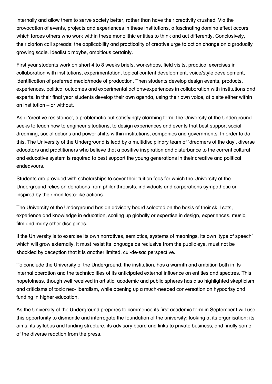internally and allow them to serve society better, rather than have their creativity crushed. Via the provocation of events, projects and experiences in these institutions, a fascinating domino effect occurs which forces others who work within these monolithic entities to think and act differently. Conclusively, their clarion call spreads: the applicability and practicality of creative urge to action change on a gradually growing scale. Idealistic maybe, ambitious certainly.

First year students work on short 4 to 8 weeks briefs, workshops, field visits, practical exercises in collaboration with institutions, experimentation, topical content development, voice/style development, identification of preferred media/mode of production. Then students develop design events, products, experiences, political outcomes and experimental actions/experiences in collaboration with institutions and experts. In their final year students develop their own agenda, using their own voice, at a site either within an institution – or without.

As a 'creative resistance', a problematic but satisfyingly alarming term, the University of the Underground seeks to teach how to engineer situations, to design experiences and events that best support social dreaming, social actions and power shifts within institutions, companies and governments. In order to do this, The University of the Underground is lead by a multidisciplinary team of 'dreamers of the day', diverse educators and practitioners who believe that a positive inspiration and disturbance to the current cultural and educative system is required to best support the young generations in their creative and political endeavours.

Students are provided with scholarships to cover their tuition fees for which the University of the Underground relies on donations from philanthropists, individuals and corporations sympathetic or inspired by their manifesto-like actions.

The University of the Underground has an advisory board selected on the basis of their skill sets, experience and knowledge in education, scaling up globally or expertise in design, experiences, music, film and many other disciplines.

If the University is to exercise its own narratives, semiotics, systems of meanings, its own 'type of speech' which will grow externally, it must resist its language as reclusive from the public eye, must not be shackled by deception that it is another limited, cul-de-sac perspective.

To conclude the University of the Underground, the institution, has a warmth and ambition both in its internal operation and the technicalities of its anticipated external influence on entities and spectres. This hopefulness, though well received in artistic, academic and public spheres has also highlighted skepticism and criticisms of toxic neo-liberalism, while opening up a much-needed conversation on hypocrisy and funding in higher education.

As the University of the Underground prepares to commence its first academic term in September I will use this opportunity to dismantle and interrogate the foundation of the university; looking at its organisation: its aims, its syllabus and funding structure, its advisory board and links to private business, and finally some of the diverse reaction from the press.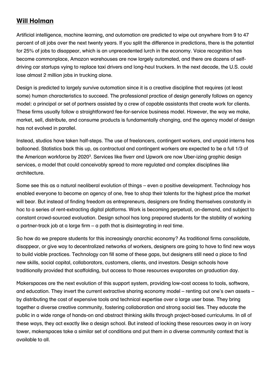#### **Will Holman**

Artificial intelligence, machine learning, and automation are predicted to wipe out anywhere from 9 to 47 percent of all jobs over the next twenty years. If you split the difference in predictions, there is the potential for 25% of jobs to disappear, which is an unprecedented lurch in the economy. Voice recognition has become commonplace, Amazon warehouses are now largely automated, and there are dozens of selfdriving car startups vying to replace taxi drivers and long-haul truckers. In the next decade, the U.S. could lose almost 2 million jobs in trucking alone.

Design is predicted to largely survive automation since it is a creative discipline that requires (at least some) human characteristics to succeed. The professional practice of design generally follows an agency model: a principal or set of partners assisted by a crew of capable assistants that create work for clients. These firms usually follow a straightforward fee-for-service business model. However, the way we make, market, sell, distribute, and consume products is fundamentally changing, and the agency model of design has not evolved in parallel.

Instead, studios have taken half-steps. The use of freelancers, contingent workers, and unpaid interns has ballooned. Statistics back this up, as contractual and contingent workers are expected to be a full 1/3 of the American workforce by 2020<sup>3</sup>. Services like fiverr and Upwork are now Uber-izing graphic design services, a model that could conceivably spread to more regulated and complex disciplines like architecture.

Some see this as a natural neoliberal evolution of things – even a positive development. Technology has enabled everyone to become an agency of one, free to shop their talents for the highest price the market will bear. But instead of finding freedom as entrepreneurs, designers are finding themselves constantly in hoc to a series of rent-extracting digital platforms. Work is becoming perpetual, on-demand, and subject to constant crowd-sourced evaluation. Design school has long prepared students for the stability of working a partner-track job at a large firm – a path that is disintegrating in real time.

So how do we prepare students for this increasingly anarchic economy? As traditional firms consolidate, disappear, or give way to decentralized networks of workers, designers are going to have to find new ways to build viable practices. Technology can fill some of these gaps, but designers still need a place to find new skills, social capital, collaborators, customers, clients, and investors. Design schools have traditionally provided that scaffolding, but access to those resources evaporates on graduation day.

Makerspaces are the next evolution of this support system, providing low-cost access to tools, software, and education. They invert the current extractive sharing economy model – renting out one's own assets – by distributing the cost of expensive tools and technical expertise over a large user base. They bring together a diverse creative community, fostering collaboration and strong social ties. They educate the public in a wide range of hands-on and abstract thinking skills through project-based curriculums. In all of these ways, they act exactly like a design school. But instead of locking these resources away in an ivory tower, makerspaces take a similar set of conditions and put them in a diverse community context that is available to all.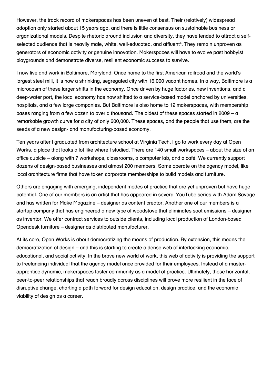However, the track record of makerspaces has been uneven at best. Their (relatively) widespread adoption only started about 15 years ago, and there is little consensus on sustainable business or organizational models. Despite rhetoric around inclusion and diversity, they have tended to attract a selfselected audience that is heavily male, white, well-educated, and affluent<sup>4</sup>. They remain unproven as generators of economic activity or genuine innovation. Makerspaces will have to evolve past hobbyist playgrounds and demonstrate diverse, resilient economic success to survive.

I now live and work in Baltimore, Maryland. Once home to the first American railroad and the world's largest steel mill, it is now a shrinking, segregated city with 16,000 vacant homes. In a way, Baltimore is a microcosm of these larger shifts in the economy. Once driven by huge factories, new inventions, and a deep-water port, the local economy has now shifted to a service-based model anchored by universities, hospitals, and a few large companies. But Baltimore is also home to 12 makerspaces, with membership bases ranging from a few dozen to over a thousand. The oldest of these spaces started in 2009 – a remarkable growth curve for a city of only 600,000. These spaces, and the people that use them, are the seeds of a new design- and manufacturing-based economy.

Ten years after I graduated from architecture school at Virginia Tech, I go to work every day at Open Works, a place that looks a lot like where I studied. There are 140 small workspaces – about the size of an office cubicle – along with 7 workshops, classrooms, a computer lab, and a café. We currently support dozens of design-based businesses and almost 200 members. Some operate on the agency model, like local architecture firms that have taken corporate memberships to build models and furniture.

Others are engaging with emerging, independent modes of practice that are yet unproven but have huge potential. One of our members is an artist that has appeared in several YouTube series with Adam Savage and has written for Make Magazine – designer as content creator. Another one of our members is a startup company that has engineered a new type of woodstove that eliminates soot emissions – designer as inventor. We offer contract services to outside clients, including local production of London-based Opendesk furniture – designer as distributed manufacturer.

At its core, Open Works is about democratizing the means of production. By extension, this means the democratization of design – and this is starting to create a dense web of interlocking economic, educational, and social activity. In the brave new world of work, this web of activity is providing the support to freelancing individual that the agency model once provided for their employees. Instead of a masterapprentice dynamic, makerspaces foster community as a model of practice. Ultimately, these horizontal, peer-to-peer relationships that reach broadly across disciplines will prove more resilient in the face of disruptive change, charting a path forward for design education, design practice, and the economic viability of design as a career.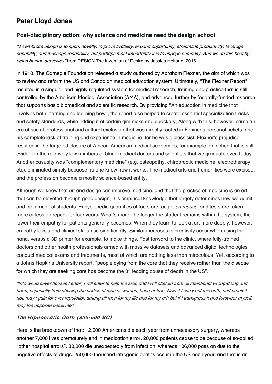#### **Peter Lloyd Jones**

#### **Post-disciplinary action: why science and medicine need the design school**

"To embrace design is to spark novelty, improve livability, expand opportunity, streamline productivity, leverage capability, and massage readability, but perhaps most importantly it is to engage humanity. And we do this best by being human ourselves" from DESIGN The Invention of Desire by Jessica Helfand, 2016

In 1910, The Carnegie Foundation released a study authored by Abraham Flexner, the aim of which was to review and reform the US and Canadian medical education system. Ultimately, "The Flexner Report" resulted in a singular and highly regulated system for medical research, training and practice that is still controlled by the American Medical Association (AMA), and advanced further by federally-funded research that supports basic biomedical and scientific research. By providing "An education in medicine that involves both learning and learning how", the report also helped to create essential specialization tracks and safety standards, while ridding it of certain gimmicks and quackery, Along with this, however, came an era of social, professional and cultural exclusion that was directly rooted in Flexner's personal beliefs, and his complete lack of training and experience in medicine, for he was a classicist. Flexner's prejudice resulted in the targeted closure of African-American medical academies, for example, an action that is still evident in the relatively low numbers of black medical doctors and scientists that we graduate even today. Another casualty was "complementary medicine" (e.g. osteopathy, chiropractic medicine, electrotherapy etc), eliminated simply because no one knew how it works. The medical arts and humanities were excised, and the profession became a mostly science-based entity.

Although we know that art and design can improve medicine, and that the practice of medicine is an art that can be elevated through good design, it is empirical knowledge that largely determines how we admit and train medical students. Encyclopedic quantities of facts are taught en masse, and tests are taken more or less on repeat for four years. What's more, the longer the student remains within the system, the lower their empathy for patients generally becomes. When they learn to look at art more deeply, however, empathy levels and clinical skills rise significantly. Similar increases in creativity occur when using the hand, versus a 3D printer for example, to make things. Fast forward to the clinic, where fully-trained doctors and other health professionals armed with massive datasets and advanced digital technologies conduct medical exams and treatments, most of which are nothing less than miraculous. Yet, according to a Johns Hopkins University report, "people dying from the care that they receive rather than the disease for which they are seeking care has become the 3<sup>rd</sup> leading cause of death in the US".

"Into whatsoever houses I enter, I will enter to help the sick, and I will abstain from all intentional wrong-doing and harm, especially from abusing the bodies of man or woman, bond or free. Now if I carry out this oath, and break it not, may I gain for ever reputation among all men for my life and for my art; but if I transgress it and forswear myself, may the opposite befall me"

#### **The Hippocratic Oath (300-500 BC)**

Here is the breakdown of that: 12,000 Americans die each year from unnecessary surgery, whereas another 7,000 lives prematurely end in medication error. 20,000 patients cease to be because of so-called "other hospital errors". 80,000 die unexpectedly from infection, whereas 106,000 pass on due to the negative effects of drugs. 250,000 thousand iatrogenic deaths occur in the US each year, and that is an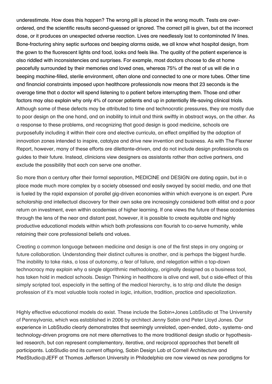underestimate. How does this happen? The wrong pill is placed in the wrong mouth. Tests are overordered, and the scientific results second-guessed or ignored. The correct pill is given, but at the incorrect dose, or it produces an unexpected adverse reaction. Lives are needlessly lost to contaminated IV lines. Bone-fracturing shiny septic surfaces and beeping alarms aside, we all know what hospital design, from the gown to the fluorescent lights and food, looks and feels like. The quality of the patient experience is also riddled with inconsistencies and surprises. For example, most doctors choose to die at home peacefully surrounded by their memories and loved ones, whereas 75% of the rest of us will die in a beeping machine-filled, sterile environment, often alone and connected to one or more tubes. Other time and financial constraints imposed upon healthcare professionals now means that 23 seconds is the average time that a doctor will spend listening to a patient before interrupting them. Those and other factors may also explain why only 4% of cancer patients end up in potentially life-saving clinical trials. Although some of these defects may be attributed to time and technocratic pressures, they are mostly due to poor design on the one hand, and an inability to intuit and think swiftly in abstract ways, on the other. As a response to these problems, and recognizing that good design is good medicine, schools are purposefully including it within their core and elective curricula, an effect amplified by the adoption of innovation zones intended to inspire, catalyze and drive new invention and business. As with The Flexner Report, however, many of these efforts are dilettante-driven, and do not include design professionals as guides to their future. Instead, clinicians view designers as assistants rather than active partners, and exclude the possibility that each can serve one another.

So more than a century after their formal separation, MEDICINE and DESIGN are dating again, but in a place made much more complex by a society obsessed and easily swayed by social media, and one that is fueled by the rapid expansion of parallel gig-driven economies within which everyone is an expert. Pure scholarship and intellectual discovery for their own sake are increasingly considered both elitist and a poor return on investment, even within academies of higher learning. If one views the future of these academies through the lens of the near and distant past, however, it is possible to create equitable and highly productive educational models within which both professions can flourish to co-serve humanity, while retaining their core professional beliefs and values.

Creating a common language between medicine and design is one of the first steps in any ongoing or future collaboration. Understanding their distinct cultures is another, and is perhaps the biggest hurdle. The inability to take risks, a loss of autonomy, a fear of failure, and relegation within a top-down technocracy may explain why a single algorithmic methodology, originally designed as a business tool, has taken hold in medical schools. Design Thinking in healthcare is alive and well, but a side-effect of this simply scripted tool, especially in the setting of the medical hierarchy, is to strip and dilute the design profession of it's most valuable tools rooted in logic, intuition, tradition, practice and specialization.

Highly effective educational models do exist. These include the Sabin+Jones LabStudio at The University of Pennsylvania, which was established in 2006 by architect Jenny Sabin and Peter Lloyd Jones. Our experience in LabStudio clearly demonstrates that seemingly unrelated, open-ended, data-, systems- and technology-driven programs are not mere alternatives to the more traditional design studio or hypothesisled research, but can represent complementary, iterative, and reciprocal approaches that benefit all participants. LabStudio and its current offspring, Sabin Design Lab at Cornell Architecture and MedStudio@JEFF at Thomas Jefferson University in Philadelphia are now viewed as new paradigms for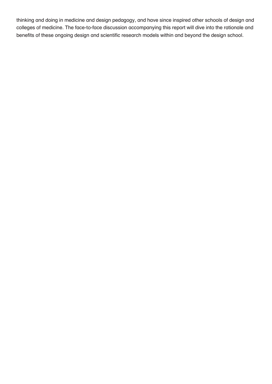thinking and doing in medicine and design pedagogy, and have since inspired other schools of design and colleges of medicine. The face-to-face discussion accompanying this report will dive into the rationale and benefits of these ongoing design and scientific research models within and beyond the design school.